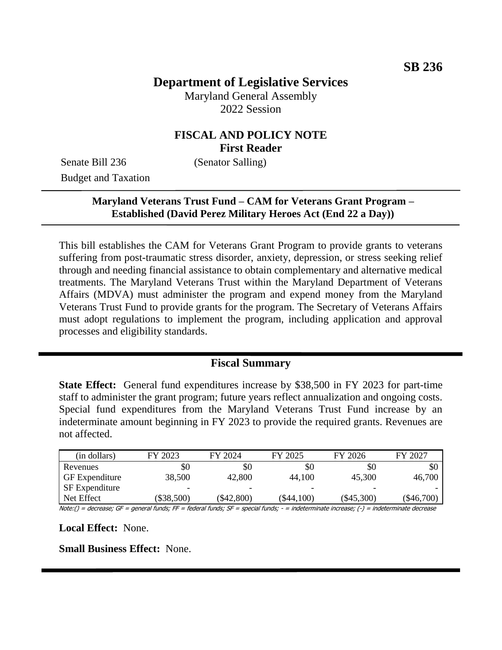# **Department of Legislative Services**

Maryland General Assembly 2022 Session

## **FISCAL AND POLICY NOTE First Reader**

Senate Bill 236 (Senator Salling) Budget and Taxation

## **Maryland Veterans Trust Fund – CAM for Veterans Grant Program – Established (David Perez Military Heroes Act (End 22 a Day))**

This bill establishes the CAM for Veterans Grant Program to provide grants to veterans suffering from post-traumatic stress disorder, anxiety, depression, or stress seeking relief through and needing financial assistance to obtain complementary and alternative medical treatments. The Maryland Veterans Trust within the Maryland Department of Veterans Affairs (MDVA) must administer the program and expend money from the Maryland Veterans Trust Fund to provide grants for the program. The Secretary of Veterans Affairs must adopt regulations to implement the program, including application and approval processes and eligibility standards.

#### **Fiscal Summary**

**State Effect:** General fund expenditures increase by \$38,500 in FY 2023 for part-time staff to administer the grant program; future years reflect annualization and ongoing costs. Special fund expenditures from the Maryland Veterans Trust Fund increase by an indeterminate amount beginning in FY 2023 to provide the required grants. Revenues are not affected.

| FY 2023  | FY 2024    | FY 2025      | FY 2026      | FY 2027  |
|----------|------------|--------------|--------------|----------|
| \$0      | \$0        | \$0          | \$0          | \$0      |
| 38,500   | 42,800     | 44,100       | 45,300       | 46,700   |
|          | -          |              |              |          |
| \$38,500 | (\$42,800) | $(\$44,100)$ | $(\$45,300)$ | \$46,700 |
|          |            |              |              |          |

Note:() = decrease; GF = general funds; FF = federal funds; SF = special funds; - = indeterminate increase; (-) = indeterminate decrease

**Local Effect:** None.

**Small Business Effect:** None.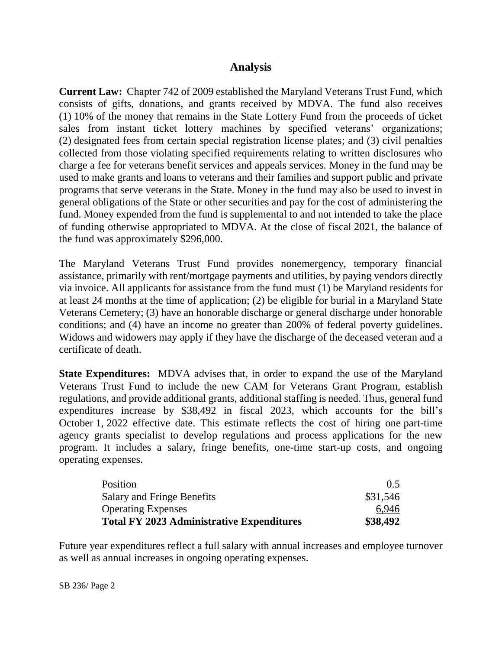## **Analysis**

**Current Law:** Chapter 742 of 2009 established the Maryland Veterans Trust Fund, which consists of gifts, donations, and grants received by MDVA. The fund also receives (1) 10% of the money that remains in the State Lottery Fund from the proceeds of ticket sales from instant ticket lottery machines by specified veterans' organizations; (2) designated fees from certain special registration license plates; and (3) civil penalties collected from those violating specified requirements relating to written disclosures who charge a fee for veterans benefit services and appeals services. Money in the fund may be used to make grants and loans to veterans and their families and support public and private programs that serve veterans in the State. Money in the fund may also be used to invest in general obligations of the State or other securities and pay for the cost of administering the fund. Money expended from the fund is supplemental to and not intended to take the place of funding otherwise appropriated to MDVA. At the close of fiscal 2021, the balance of the fund was approximately \$296,000.

The Maryland Veterans Trust Fund provides nonemergency, temporary financial assistance, primarily with rent/mortgage payments and utilities, by paying vendors directly via invoice. All applicants for assistance from the fund must (1) be Maryland residents for at least 24 months at the time of application; (2) be eligible for burial in a Maryland State Veterans Cemetery; (3) have an honorable discharge or general discharge under honorable conditions; and (4) have an income no greater than 200% of federal poverty guidelines. Widows and widowers may apply if they have the discharge of the deceased veteran and a certificate of death.

**State Expenditures:** MDVA advises that, in order to expand the use of the Maryland Veterans Trust Fund to include the new CAM for Veterans Grant Program, establish regulations, and provide additional grants, additional staffing is needed. Thus, general fund expenditures increase by \$38,492 in fiscal 2023, which accounts for the bill's October 1, 2022 effective date. This estimate reflects the cost of hiring one part-time agency grants specialist to develop regulations and process applications for the new program. It includes a salary, fringe benefits, one-time start-up costs, and ongoing operating expenses.

| Position                                         | $()$ 5   |
|--------------------------------------------------|----------|
| Salary and Fringe Benefits                       | \$31,546 |
| <b>Operating Expenses</b>                        | 6.946    |
| <b>Total FY 2023 Administrative Expenditures</b> | \$38,492 |

Future year expenditures reflect a full salary with annual increases and employee turnover as well as annual increases in ongoing operating expenses.